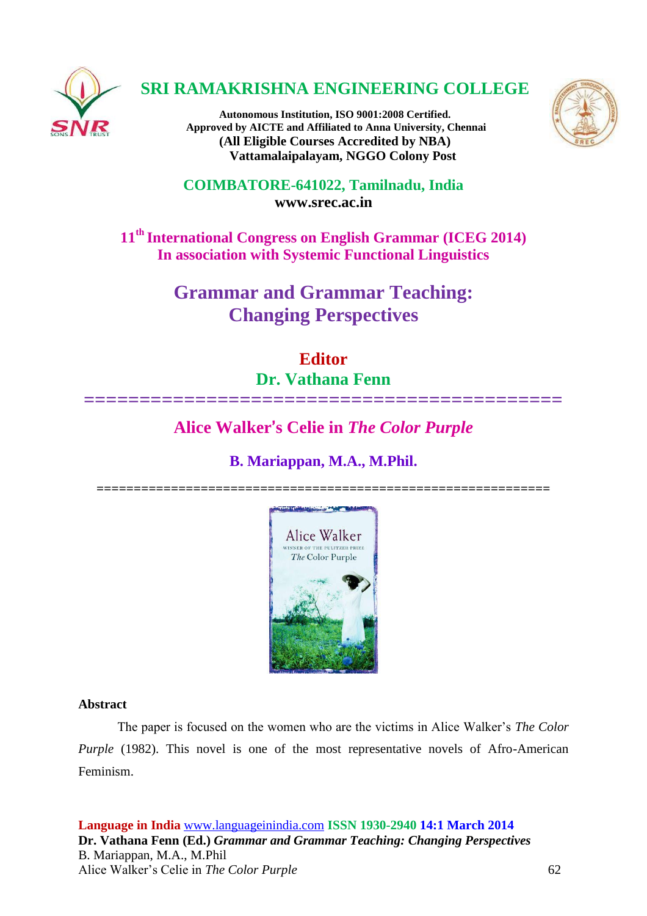

## **SRI RAMAKRISHNA ENGINEERING COLLEGE**

**Autonomous Institution, ISO 9001:2008 Certified. Approved by AICTE and Affiliated to Anna University, Chennai (All Eligible Courses Accredited by NBA) Vattamalaipalayam, NGGO Colony Post**



**COIMBATORE-641022, Tamilnadu, India [www.srec.ac.in](http://www.srec.ac.in/)**

**11th International Congress on English Grammar (ICEG 2014) In association with Systemic Functional Linguistics**

> **Grammar and Grammar Teaching: Changing Perspectives**

# **Editor Dr. Vathana Fenn**

# **Alice Walker**'**s Celie in** *The Color Purple*

**===========================================**

**B. Mariappan, M.A., M.Phil.**





## **Abstract**

The paper is focused on the women who are the victims in Alice Walker's *The Color Purple* (1982). This novel is one of the most representative novels of Afro-American Feminism.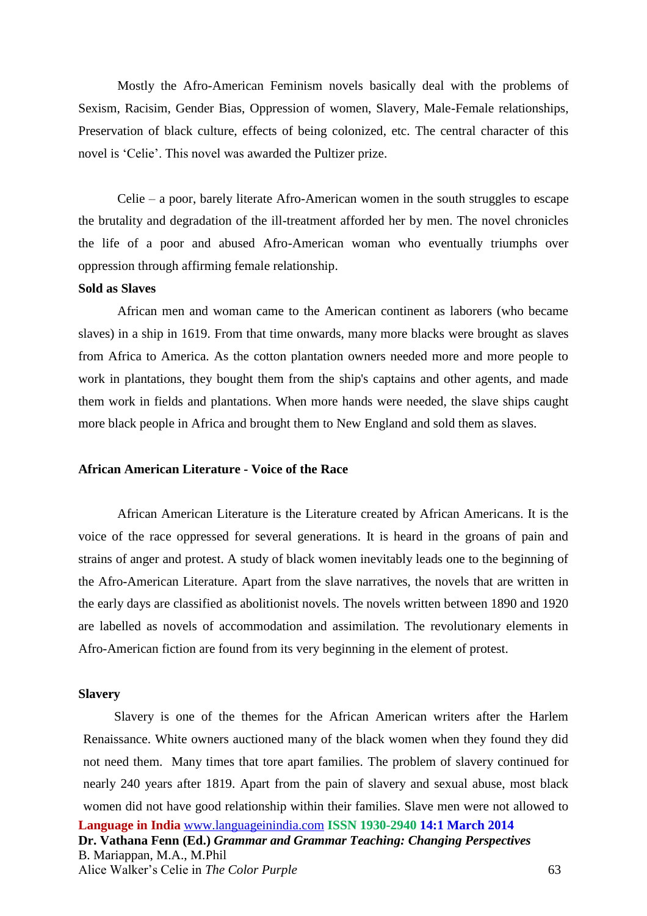Mostly the Afro-American Feminism novels basically deal with the problems of Sexism, Racisim, Gender Bias, Oppression of women, Slavery, Male-Female relationships, Preservation of black culture, effects of being colonized, etc. The central character of this novel is 'Celie'. This novel was awarded the Pultizer prize.

Celie – a poor, barely literate Afro-American women in the south struggles to escape the brutality and degradation of the ill-treatment afforded her by men. The novel chronicles the life of a poor and abused Afro-American woman who eventually triumphs over oppression through affirming female relationship.

#### **Sold as Slaves**

African men and woman came to the American continent as laborers (who became slaves) in a ship in 1619. From that time onwards, many more blacks were brought as slaves from Africa to America. As the cotton plantation owners needed more and more people to work in plantations, they bought them from the ship's captains and other agents, and made them work in fields and plantations. When more hands were needed, the slave ships caught more black people in Africa and brought them to New England and sold them as slaves.

#### **African American Literature - Voice of the Race**

African American Literature is the Literature created by African Americans. It is the voice of the race oppressed for several generations. It is heard in the groans of pain and strains of anger and protest. A study of black women inevitably leads one to the beginning of the Afro-American Literature. Apart from the slave narratives, the novels that are written in the early days are classified as abolitionist novels. The novels written between 1890 and 1920 are labelled as novels of accommodation and assimilation. The revolutionary elements in Afro-American fiction are found from its very beginning in the element of protest.

#### **Slavery**

**Language in India** [www.languageinindia.com](http://www.languageinindia.com/) **ISSN 1930-2940 14:1 March 2014 Dr. Vathana Fenn (Ed.)** *Grammar and Grammar Teaching: Changing Perspectives* B. Mariappan, M.A., M.Phil Alice Walker's Celie in *The Color Purple* 63 Slavery is one of the themes for the African American writers after the Harlem Renaissance. White owners auctioned many of the black women when they found they did not need them. Many times that tore apart families. The problem of slavery continued for nearly 240 years after 1819. Apart from the pain of slavery and sexual abuse, most black women did not have good relationship within their families. Slave men were not allowed to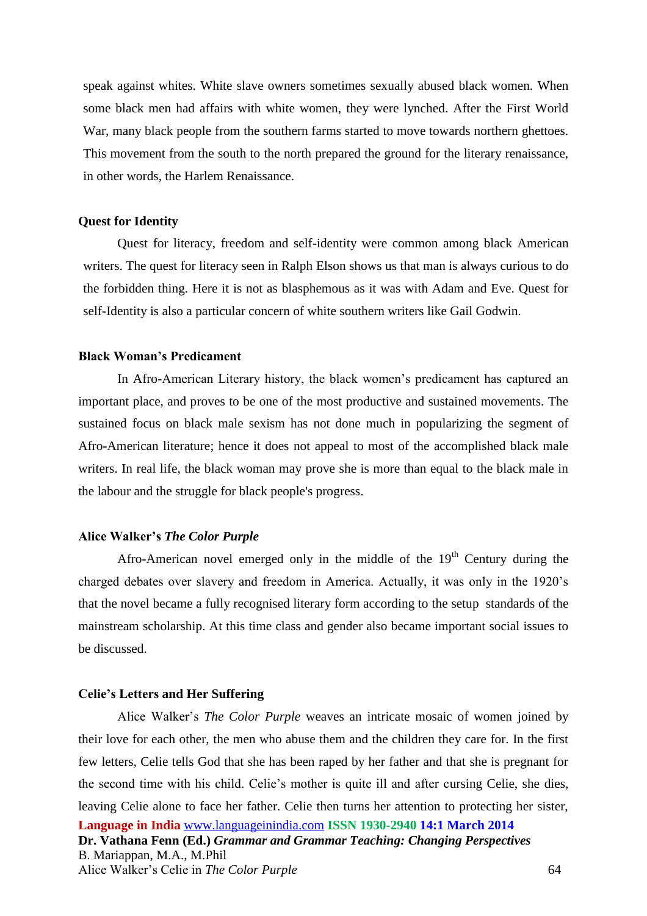speak against whites. White slave owners sometimes sexually abused black women. When some black men had affairs with white women, they were lynched. After the First World War, many black people from the southern farms started to move towards northern ghettoes. This movement from the south to the north prepared the ground for the literary renaissance, in other words, the Harlem Renaissance.

#### **Quest for Identity**

 Quest for literacy, freedom and self-identity were common among black American writers. The quest for literacy seen in Ralph Elson shows us that man is always curious to do the forbidden thing. Here it is not as blasphemous as it was with Adam and Eve. Quest for self-Identity is also a particular concern of white southern writers like Gail Godwin.

### **Black Woman's Predicament**

In Afro-American Literary history, the black women's predicament has captured an important place, and proves to be one of the most productive and sustained movements. The sustained focus on black male sexism has not done much in popularizing the segment of Afro-American literature; hence it does not appeal to most of the accomplished black male writers. In real life, the black woman may prove she is more than equal to the black male in the labour and the struggle for black people's progress.

### **Alice Walker's** *The Color Purple*

Afro-American novel emerged only in the middle of the  $19<sup>th</sup>$  Century during the charged debates over slavery and freedom in America. Actually, it was only in the 1920's that the novel became a fully recognised literary form according to the setup standards of the mainstream scholarship. At this time class and gender also became important social issues to be discussed.

#### **Celie's Letters and Her Suffering**

**Language in India** [www.languageinindia.com](http://www.languageinindia.com/) **ISSN 1930-2940 14:1 March 2014 Dr. Vathana Fenn (Ed.)** *Grammar and Grammar Teaching: Changing Perspectives* B. Mariappan, M.A., M.Phil Alice Walker's Celie in *The Color Purple* 64 Alice Walker's *The Color Purple* weaves an intricate mosaic of women joined by their love for each other, the men who abuse them and the children they care for. In the first few letters, Celie tells God that she has been raped by her father and that she is pregnant for the second time with his child. Celie's mother is quite ill and after cursing Celie, she dies, leaving Celie alone to face her father. Celie then turns her attention to protecting her sister,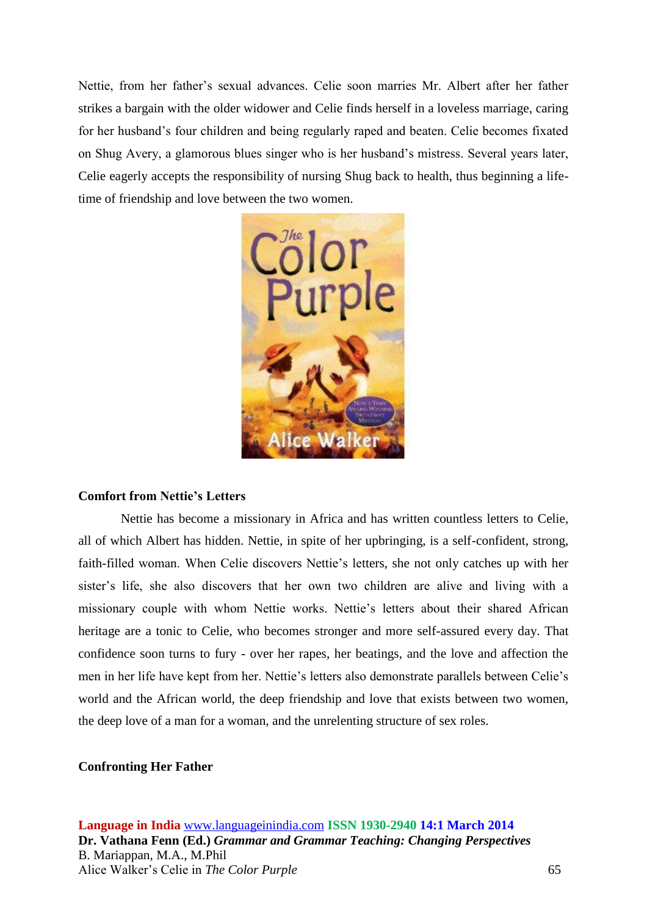Nettie, from her father's sexual advances. Celie soon marries Mr. Albert after her father strikes a bargain with the older widower and Celie finds herself in a loveless marriage, caring for her husband's four children and being regularly raped and beaten. Celie becomes fixated on Shug Avery, a glamorous blues singer who is her husband's mistress. Several years later, Celie eagerly accepts the responsibility of nursing Shug back to health, thus beginning a lifetime of friendship and love between the two women.



### **Comfort from Nettie's Letters**

Nettie has become a missionary in Africa and has written countless letters to Celie, all of which Albert has hidden. Nettie, in spite of her upbringing, is a self-confident, strong, faith-filled woman. When Celie discovers Nettie's letters, she not only catches up with her sister's life, she also discovers that her own two children are alive and living with a missionary couple with whom Nettie works. Nettie's letters about their shared African heritage are a tonic to Celie, who becomes stronger and more self-assured every day. That confidence soon turns to fury - over her rapes, her beatings, and the love and affection the men in her life have kept from her. Nettie's letters also demonstrate parallels between Celie's world and the African world, the deep friendship and love that exists between two women, the deep love of a man for a woman, and the unrelenting structure of sex roles.

#### **Confronting Her Father**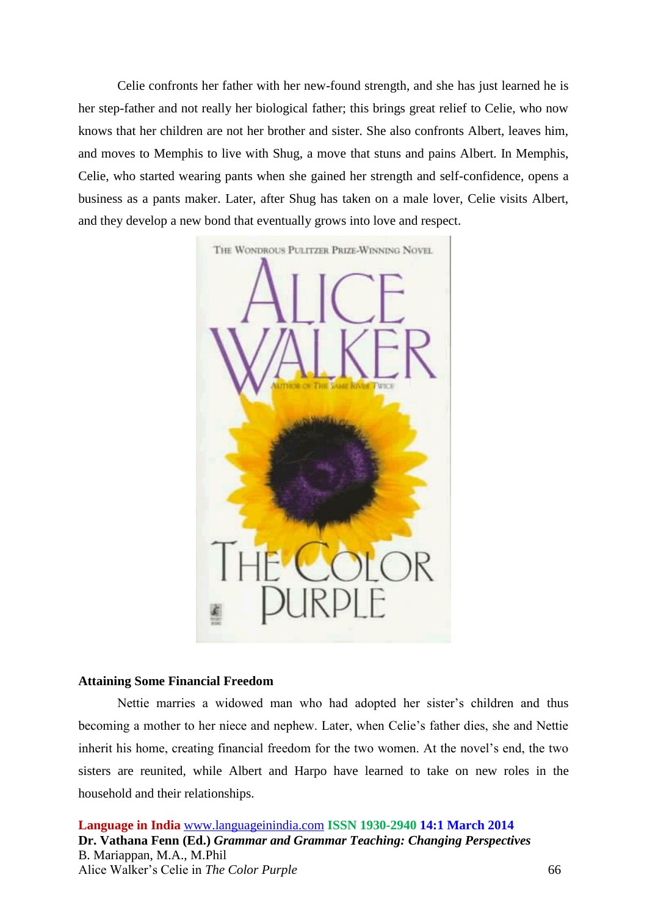Celie confronts her father with her new-found strength, and she has just learned he is her step-father and not really her biological father; this brings great relief to Celie, who now knows that her children are not her brother and sister. She also confronts Albert, leaves him, and moves to Memphis to live with Shug, a move that stuns and pains Albert. In Memphis, Celie, who started wearing pants when she gained her strength and self-confidence, opens a business as a pants maker. Later, after Shug has taken on a male lover, Celie visits Albert, and they develop a new bond that eventually grows into love and respect.



#### **Attaining Some Financial Freedom**

Nettie marries a widowed man who had adopted her sister's children and thus becoming a mother to her niece and nephew. Later, when Celie's father dies, she and Nettie inherit his home, creating financial freedom for the two women. At the novel's end, the two sisters are reunited, while Albert and Harpo have learned to take on new roles in the household and their relationships.

**Language in India** [www.languageinindia.com](http://www.languageinindia.com/) **ISSN 1930-2940 14:1 March 2014 Dr. Vathana Fenn (Ed.)** *Grammar and Grammar Teaching: Changing Perspectives* B. Mariappan, M.A., M.Phil Alice Walker's Celie in *The Color Purple* 66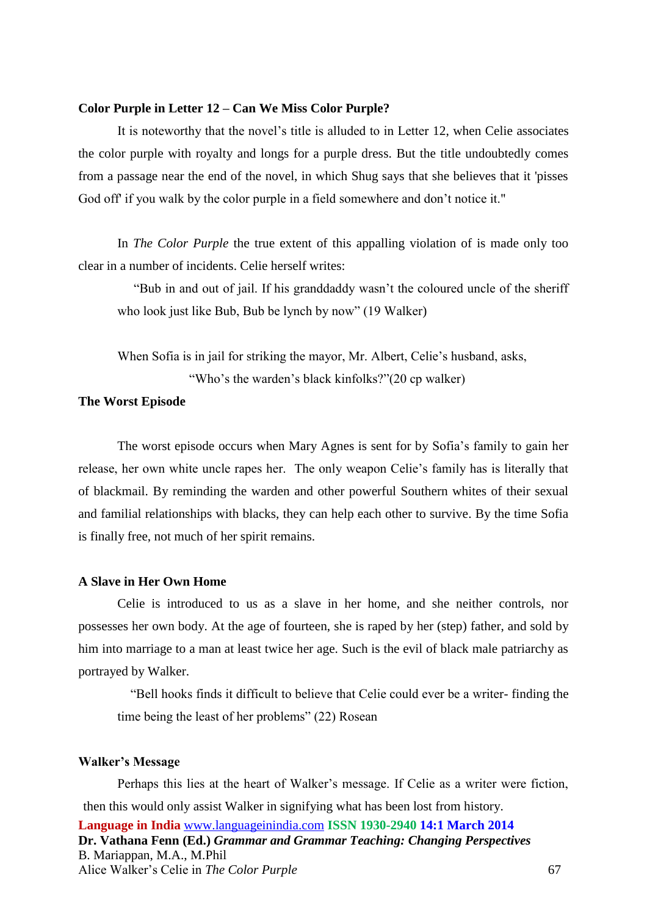#### **Color Purple in Letter 12 – Can We Miss Color Purple?**

It is noteworthy that the novel's title is alluded to in Letter 12, when Celie associates the color purple with royalty and longs for a purple dress. But the title undoubtedly comes from a passage near the end of the novel, in which Shug says that she believes that it 'pisses God off if you walk by the color purple in a field somewhere and don't notice it."

In *The Color Purple* the true extent of this appalling violation of is made only too clear in a number of incidents. Celie herself writes:

 "Bub in and out of jail. If his granddaddy wasn't the coloured uncle of the sheriff who look just like Bub, Bub be lynch by now" (19 Walker)

When Sofia is in jail for striking the mayor, Mr. Albert, Celie's husband, asks, "Who's the warden's black kinfolks?"(20 cp walker)

## **The Worst Episode**

The worst episode occurs when Mary Agnes is sent for by Sofia's family to gain her release, her own white uncle rapes her. The only weapon Celie's family has is literally that of blackmail. By reminding the warden and other powerful Southern whites of their sexual and familial relationships with blacks, they can help each other to survive. By the time Sofia is finally free, not much of her spirit remains.

## **A Slave in Her Own Home**

Celie is introduced to us as a slave in her home, and she neither controls, nor possesses her own body. At the age of fourteen, she is raped by her (step) father, and sold by him into marriage to a man at least twice her age. Such is the evil of black male patriarchy as portrayed by Walker.

 "Bell hooks finds it difficult to believe that Celie could ever be a writer- finding the time being the least of her problems" (22) Rosean

#### **Walker's Message**

**Language in India** [www.languageinindia.com](http://www.languageinindia.com/) **ISSN 1930-2940 14:1 March 2014 Dr. Vathana Fenn (Ed.)** *Grammar and Grammar Teaching: Changing Perspectives* B. Mariappan, M.A., M.Phil Alice Walker's Celie in *The Color Purple* 67 Perhaps this lies at the heart of Walker's message. If Celie as a writer were fiction, then this would only assist Walker in signifying what has been lost from history.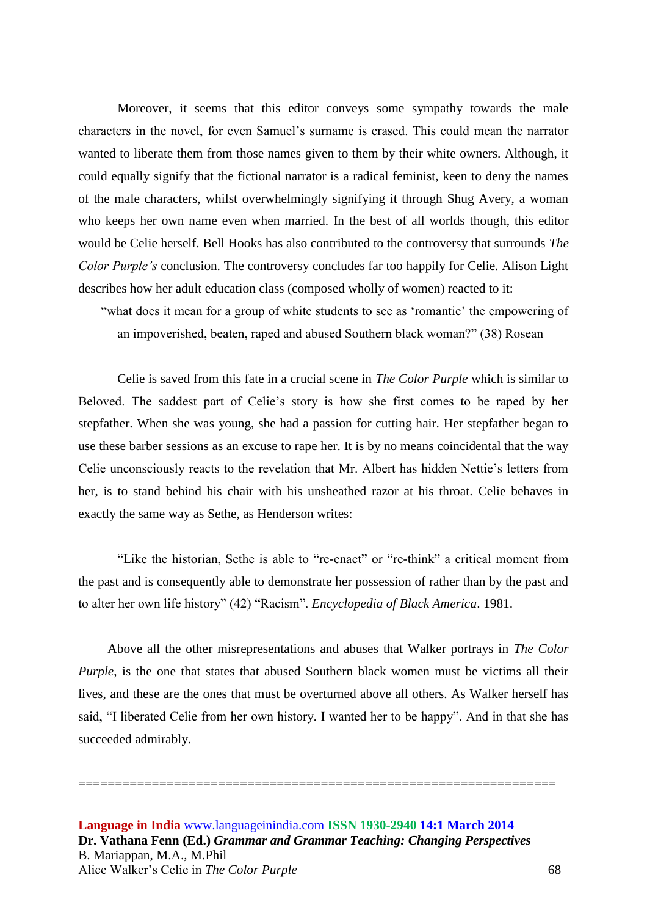Moreover, it seems that this editor conveys some sympathy towards the male characters in the novel, for even Samuel's surname is erased. This could mean the narrator wanted to liberate them from those names given to them by their white owners. Although, it could equally signify that the fictional narrator is a radical feminist, keen to deny the names of the male characters, whilst overwhelmingly signifying it through Shug Avery, a woman who keeps her own name even when married. In the best of all worlds though, this editor would be Celie herself. Bell Hooks has also contributed to the controversy that surrounds *The Color Purple's* conclusion. The controversy concludes far too happily for Celie. Alison Light describes how her adult education class (composed wholly of women) reacted to it:

 "what does it mean for a group of white students to see as 'romantic' the empowering of an impoverished, beaten, raped and abused Southern black woman?" (38) Rosean

Celie is saved from this fate in a crucial scene in *The Color Purple* which is similar to Beloved. The saddest part of Celie's story is how she first comes to be raped by her stepfather. When she was young, she had a passion for cutting hair. Her stepfather began to use these barber sessions as an excuse to rape her. It is by no means coincidental that the way Celie unconsciously reacts to the revelation that Mr. Albert has hidden Nettie's letters from her, is to stand behind his chair with his unsheathed razor at his throat. Celie behaves in exactly the same way as Sethe, as Henderson writes:

"Like the historian, Sethe is able to "re-enact" or "re-think" a critical moment from the past and is consequently able to demonstrate her possession of rather than by the past and to alter her own life history" (42) "Racism". *Encyclopedia of Black America*. 1981.

Above all the other misrepresentations and abuses that Walker portrays in *The Color Purple*, is the one that states that abused Southern black women must be victims all their lives, and these are the ones that must be overturned above all others. As Walker herself has said, "I liberated Celie from her own history. I wanted her to be happy". And in that she has succeeded admirably.

=================================================================